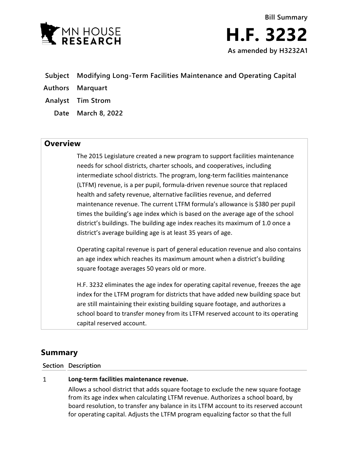

- **Subject Modifying Long-Term Facilities Maintenance and Operating Capital**
- **Authors Marquart**
- **Analyst Tim Strom**
	- **Date March 8, 2022**

## **Overview**

The 2015 Legislature created a new program to support facilities maintenance needs for school districts, charter schools, and cooperatives, including intermediate school districts. The program, long-term facilities maintenance (LTFM) revenue, is a per pupil, formula-driven revenue source that replaced health and safety revenue, alternative facilities revenue, and deferred maintenance revenue. The current LTFM formula's allowance is \$380 per pupil times the building's age index which is based on the average age of the school district's buildings. The building age index reaches its maximum of 1.0 once a district's average building age is at least 35 years of age.

Operating capital revenue is part of general education revenue and also contains an age index which reaches its maximum amount when a district's building square footage averages 50 years old or more.

H.F. 3232 eliminates the age index for operating capital revenue, freezes the age index for the LTFM program for districts that have added new building space but are still maintaining their existing building square footage, and authorizes a school board to transfer money from its LTFM reserved account to its operating capital reserved account.

# **Summary**

### **Section Description**

#### $\mathbf{1}$ **Long-term facilities maintenance revenue.**

Allows a school district that adds square footage to exclude the new square footage from its age index when calculating LTFM revenue. Authorizes a school board, by board resolution, to transfer any balance in its LTFM account to its reserved account for operating capital. Adjusts the LTFM program equalizing factor so that the full